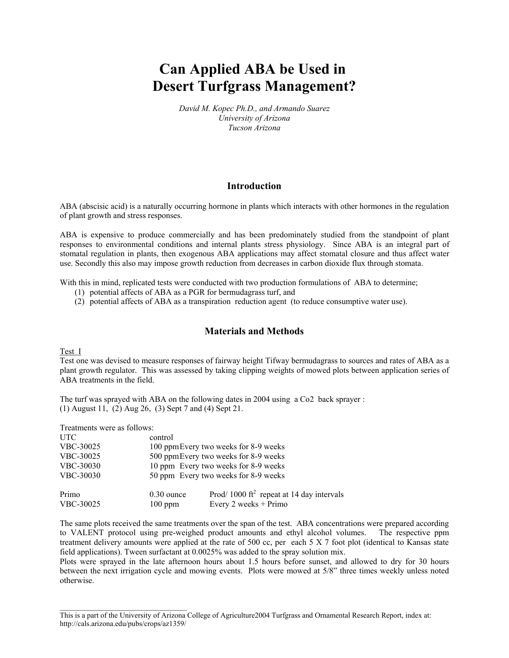# **Can Applied ABA be Used in Desert Turfgrass Management?**

*David M. Kopec Ph.D., and Armando Suarez University of Arizona Tucson Arizona*

## **Introduction**

ABA (abscisic acid) is a naturally occurring hormone in plants which interacts with other hormones in the regulation of plant growth and stress responses.

ABA is expensive to produce commercially and has been predominately studied from the standpoint of plant responses to environmental conditions and internal plants stress physiology. Since ABA is an integral part of stomatal regulation in plants, then exogenous ABA applications may affect stomatal closure and thus affect water use. Secondly this also may impose growth reduction from decreases in carbon dioxide flux through stomata.

With this in mind, replicated tests were conducted with two production formulations of ABA to determine;

- (1) potential affects of ABA as a PGR for bermudagrass turf, and
- (2) potential affects of ABA as a transpiration reduction agent (to reduce consumptive water use).

## **Materials and Methods**

Test I

Test one was devised to measure responses of fairway height Tifway bermudagrass to sources and rates of ABA as a plant growth regulator. This was assessed by taking clipping weights of mowed plots between application series of ABA treatments in the field.

The turf was sprayed with ABA on the following dates in 2004 using a Co2 back sprayer : (1) August 11, (2) Aug 26, (3) Sept 7 and (4) Sept 21.

Treatments were as follows:

| <b>UTC</b>         | control                               |                                                                               |  |  |  |  |  |  |  |
|--------------------|---------------------------------------|-------------------------------------------------------------------------------|--|--|--|--|--|--|--|
| VBC-30025          | 100 ppm Every two weeks for 8-9 weeks |                                                                               |  |  |  |  |  |  |  |
| VBC-30025          | 500 ppmEvery two weeks for 8-9 weeks  |                                                                               |  |  |  |  |  |  |  |
| VBC-30030          | 10 ppm Every two weeks for 8-9 weeks  |                                                                               |  |  |  |  |  |  |  |
| VBC-30030          | 50 ppm Every two weeks for 8-9 weeks  |                                                                               |  |  |  |  |  |  |  |
| Primo<br>VBC-30025 | $0.30$ ounce<br>$100$ ppm             | Prod/1000 ft <sup>2</sup> repeat at 14 day intervals<br>Every 2 weeks + Primo |  |  |  |  |  |  |  |

The same plots received the same treatments over the span of the test. ABA concentrations were prepared according to VALENT protocol using pre-weighed product amounts and ethyl alcohol volumes. The respective ppm treatment delivery amounts were applied at the rate of 500 cc, per each 5 X 7 foot plot (identical to Kansas state field applications). Tween surfactant at 0.0025% was added to the spray solution mix.

Plots were sprayed in the late afternoon hours about 1.5 hours before sunset, and allowed to dry for 30 hours between the next irrigation cycle and mowing events. Plots were mowed at 5/8" three times weekly unless noted otherwise.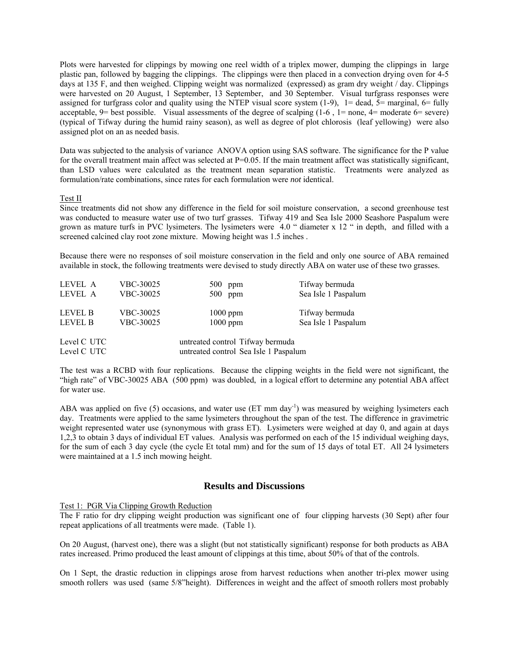Plots were harvested for clippings by mowing one reel width of a triplex mower, dumping the clippings in large plastic pan, followed by bagging the clippings. The clippings were then placed in a convection drying oven for 4-5 days at 135 F, and then weighed. Clipping weight was normalized (expressed) as gram dry weight / day. Clippings were harvested on 20 August, 1 September, 13 September, and 30 September. Visual turfgrass responses were assigned for turfgrass color and quality using the NTEP visual score system  $(1-9)$ ,  $1=$  dead,  $5=$  marginal,  $6=$  fully acceptable,  $9$ = best possible. Visual assessments of the degree of scalping  $(1-6, 1=$  none,  $4=$  moderate  $6=$  severe) (typical of Tifway during the humid rainy season), as well as degree of plot chlorosis (leaf yellowing) were also assigned plot on an as needed basis.

Data was subjected to the analysis of variance ANOVA option using SAS software. The significance for the P value for the overall treatment main affect was selected at  $P=0.05$ . If the main treatment affect was statistically significant, than LSD values were calculated as the treatment mean separation statistic. Treatments were analyzed as formulation/rate combinations, since rates for each formulation were *not* identical.

#### Test II

Since treatments did not show any difference in the field for soil moisture conservation, a second greenhouse test was conducted to measure water use of two turf grasses. Tifway 419 and Sea Isle 2000 Seashore Paspalum were grown as mature turfs in PVC lysimeters. The lysimeters were 4.0 " diameter x 12 " in depth, and filled with a screened calcined clay root zone mixture. Mowing height was 1.5 inches .

Because there were no responses of soil moisture conservation in the field and only one source of ABA remained available in stock, the following treatments were devised to study directly ABA on water use of these two grasses.

| LEVEL A                          | VBC-30025              | $500$ ppm                                                                 | Tifway bermuda                        |
|----------------------------------|------------------------|---------------------------------------------------------------------------|---------------------------------------|
| LEVEL A                          | VBC-30025              | $500$ ppm                                                                 | Sea Isle 1 Paspalum                   |
| <b>LEVEL B</b><br><b>LEVEL B</b> | VBC-30025<br>VBC-30025 | $1000$ ppm<br>$1000$ ppm                                                  | Tifway bermuda<br>Sea Isle 1 Paspalum |
| Level C UTC<br>Level C UTC       |                        | untreated control Tifway bermuda<br>untreated control Sea Isle 1 Paspalum |                                       |

The test was a RCBD with four replications. Because the clipping weights in the field were not significant, the "high rate" of VBC-30025 ABA (500 ppm) was doubled, in a logical effort to determine any potential ABA affect for water use.

ABA was applied on five (5) occasions, and water use (ET mm day<sup>-1</sup>) was measured by weighing lysimeters each day. Treatments were applied to the same lysimeters throughout the span of the test. The difference in gravimetric weight represented water use (synonymous with grass ET). Lysimeters were weighed at day 0, and again at days 1,2,3 to obtain 3 days of individual ET values. Analysis was performed on each of the 15 individual weighing days, for the sum of each 3 day cycle (the cycle Et total mm) and for the sum of 15 days of total ET. All 24 lysimeters were maintained at a 1.5 inch mowing height.

### **Results and Discussions**

Test 1: PGR Via Clipping Growth Reduction

The F ratio for dry clipping weight production was significant one of four clipping harvests (30 Sept) after four repeat applications of all treatments were made. (Table 1).

On 20 August, (harvest one), there was a slight (but not statistically significant) response for both products as ABA rates increased. Primo produced the least amount of clippings at this time, about 50% of that of the controls.

On 1 Sept, the drastic reduction in clippings arose from harvest reductions when another tri-plex mower using smooth rollers was used (same 5/8"height). Differences in weight and the affect of smooth rollers most probably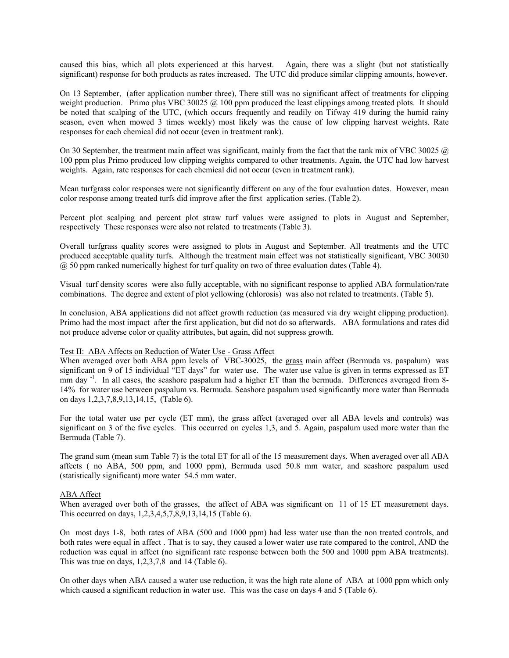caused this bias, which all plots experienced at this harvest. Again, there was a slight (but not statistically significant) response for both products as rates increased. The UTC did produce similar clipping amounts, however.

On 13 September, (after application number three), There still was no significant affect of treatments for clipping weight production. Primo plus VBC 30025  $@$  100 ppm produced the least clippings among treated plots. It should be noted that scalping of the UTC, (which occurs frequently and readily on Tifway 419 during the humid rainy season, even when mowed 3 times weekly) most likely was the cause of low clipping harvest weights. Rate responses for each chemical did not occur (even in treatment rank).

On 30 September, the treatment main affect was significant, mainly from the fact that the tank mix of VBC 30025  $\omega$ 100 ppm plus Primo produced low clipping weights compared to other treatments. Again, the UTC had low harvest weights. Again, rate responses for each chemical did not occur (even in treatment rank).

Mean turfgrass color responses were not significantly different on any of the four evaluation dates. However, mean color response among treated turfs did improve after the first application series. (Table 2).

Percent plot scalping and percent plot straw turf values were assigned to plots in August and September, respectively These responses were also not related to treatments (Table 3).

Overall turfgrass quality scores were assigned to plots in August and September. All treatments and the UTC produced acceptable quality turfs. Although the treatment main effect was not statistically significant, VBC 30030  $\omega$  50 ppm ranked numerically highest for turf quality on two of three evaluation dates (Table 4).

Visual turf density scores were also fully acceptable, with no significant response to applied ABA formulation/rate combinations. The degree and extent of plot yellowing (chlorosis) was also not related to treatments. (Table 5).

In conclusion, ABA applications did not affect growth reduction (as measured via dry weight clipping production). Primo had the most impact after the first application, but did not do so afterwards. ABA formulations and rates did not produce adverse color or quality attributes, but again, did not suppress growth.

#### Test II: ABA Affects on Reduction of Water Use - Grass Affect

When averaged over both ABA ppm levels of VBC-30025, the grass main affect (Bermuda vs. paspalum) was significant on 9 of 15 individual "ET days" for water use. The water use value is given in terms expressed as ET mm day <sup>-1</sup>. In all cases, the seashore paspalum had a higher ET than the bermuda. Differences averaged from 8-14% for water use between paspalum vs. Bermuda. Seashore paspalum used significantly more water than Bermuda on days 1,2,3,7,8,9,13,14,15, (Table 6).

For the total water use per cycle (ET mm), the grass affect (averaged over all ABA levels and controls) was significant on 3 of the five cycles. This occurred on cycles 1,3, and 5. Again, paspalum used more water than the Bermuda (Table 7).

The grand sum (mean sum Table 7) is the total ET for all of the 15 measurement days. When averaged over all ABA affects ( no ABA, 500 ppm, and 1000 ppm), Bermuda used 50.8 mm water, and seashore paspalum used (statistically significant) more water 54.5 mm water.

#### ABA Affect

When averaged over both of the grasses, the affect of ABA was significant on 11 of 15 ET measurement days. This occurred on days, 1,2,3,4,5,7,8,9,13,14,15 (Table 6).

On most days 1-8, both rates of ABA (500 and 1000 ppm) had less water use than the non treated controls, and both rates were equal in affect . That is to say, they caused a lower water use rate compared to the control, AND the reduction was equal in affect (no significant rate response between both the 500 and 1000 ppm ABA treatments). This was true on days,  $1,2,3,7,8$  and 14 (Table 6).

On other days when ABA caused a water use reduction, it was the high rate alone of ABA at 1000 ppm which only which caused a significant reduction in water use. This was the case on days 4 and 5 (Table 6).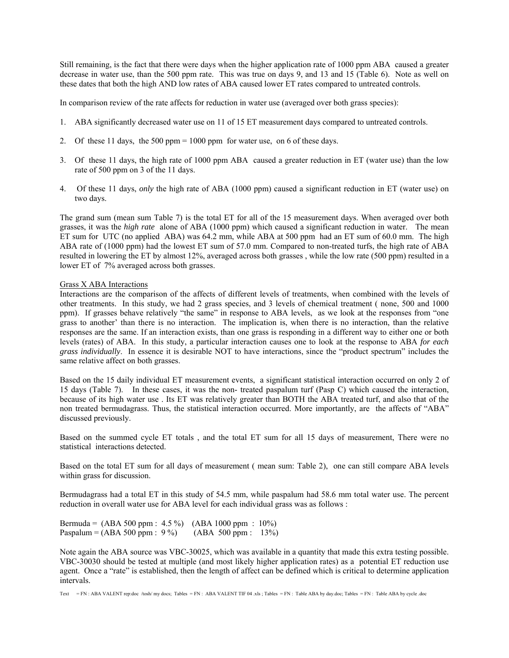Still remaining, is the fact that there were days when the higher application rate of 1000 ppm ABA caused a greater decrease in water use, than the 500 ppm rate. This was true on days 9, and 13 and 15 (Table 6). Note as well on these dates that both the high AND low rates of ABA caused lower ET rates compared to untreated controls.

In comparison review of the rate affects for reduction in water use (averaged over both grass species):

- 1. ABA significantly decreased water use on 11 of 15 ET measurement days compared to untreated controls.
- 2. Of these 11 days, the 500 ppm = 1000 ppm for water use, on 6 of these days.
- 3. Of these 11 days, the high rate of 1000 ppm ABA caused a greater reduction in ET (water use) than the low rate of 500 ppm on 3 of the 11 days.
- 4. Of these 11 days, *only* the high rate of ABA (1000 ppm) caused a significant reduction in ET (water use) on two days.

The grand sum (mean sum Table 7) is the total ET for all of the 15 measurement days. When averaged over both grasses, it was the *high rate* alone of ABA (1000 ppm) which caused a significant reduction in water. The mean ET sum for UTC (no applied ABA) was 64.2 mm, while ABA at 500 ppm had an ET sum of 60.0 mm. The high ABA rate of (1000 ppm) had the lowest ET sum of 57.0 mm. Compared to non-treated turfs, the high rate of ABA resulted in lowering the ET by almost 12%, averaged across both grasses , while the low rate (500 ppm) resulted in a lower ET of 7% averaged across both grasses.

#### Grass X ABA Interactions

Interactions are the comparison of the affects of different levels of treatments, when combined with the levels of other treatments. In this study, we had 2 grass species, and 3 levels of chemical treatment ( none, 500 and 1000 ppm). If grasses behave relatively "the same" in response to ABA levels, as we look at the responses from "one grass to another' than there is no interaction. The implication is, when there is no interaction, than the relative responses are the same. If an interaction exists, than one grass is responding in a different way to either one or both levels (rates) of ABA. In this study, a particular interaction causes one to look at the response to ABA *for each grass individually*. In essence it is desirable NOT to have interactions, since the "product spectrum" includes the same relative affect on both grasses.

Based on the 15 daily individual ET measurement events, a significant statistical interaction occurred on only 2 of 15 days (Table 7). In these cases, it was the non- treated paspalum turf (Pasp C) which caused the interaction, because of its high water use . Its ET was relatively greater than BOTH the ABA treated turf, and also that of the non treated bermudagrass. Thus, the statistical interaction occurred. More importantly, are the affects of "ABA" discussed previously.

Based on the summed cycle ET totals , and the total ET sum for all 15 days of measurement, There were no statistical interactions detected.

Based on the total ET sum for all days of measurement ( mean sum: Table 2), one can still compare ABA levels within grass for discussion.

Bermudagrass had a total ET in this study of 54.5 mm, while paspalum had 58.6 mm total water use. The percent reduction in overall water use for ABA level for each individual grass was as follows :

Bermuda = (ABA 500 ppm : 4.5 %) (ABA 1000 ppm : 10%) Paspalum =  $(ABA 500 ppm : 9\%)$   $(ABA 500 ppm : 13\%)$ 

Note again the ABA source was VBC-30025, which was available in a quantity that made this extra testing possible. VBC-30030 should be tested at multiple (and most likely higher application rates) as a potential ET reduction use agent. Once a "rate" is established, then the length of affect can be defined which is critical to determine application intervals.

Text = FN : ABA VALENT rep:doc /tosh/ my docs; Tables = FN : ABA VALENT TIF 04 .xls ; Tables = FN : Table ABA by day.doc; Tables = FN : Table ABA by cycle .doc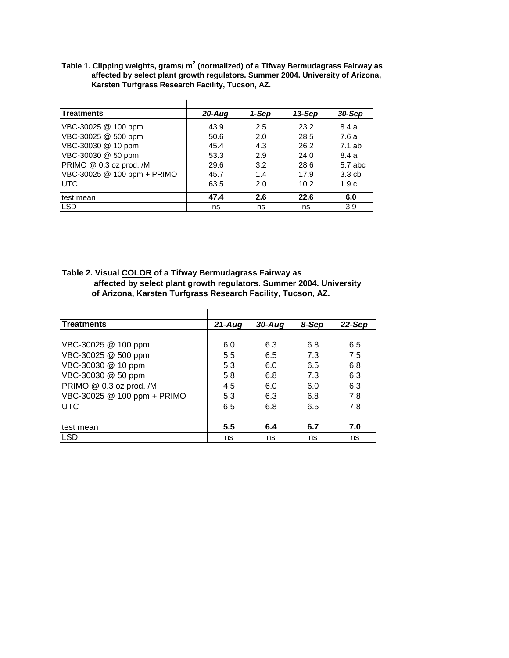Table 1. Clipping weights, grams/ m<sup>2</sup> (normalized) of a Tifway Bermudagrass Fairway as  **affected by select plant growth regulators. Summer 2004. University of Arizona, Karsten Turfgrass Research Facility, Tucson, AZ.**

| <b>Treatments</b>           | $20 - Aug$ | 1-Sep | 13-Sep | 30-Sep  |
|-----------------------------|------------|-------|--------|---------|
| VBC-30025 @ 100 ppm         | 43.9       | 2.5   | 23.2   | 8.4 a   |
| VBC-30025 @ 500 ppm         | 50.6       | 2.0   | 28.5   | 7.6a    |
| VBC-30030 @ 10 ppm          | 45.4       | 4.3   | 26.2   | 7.1 ab  |
| VBC-30030 @ 50 ppm          | 53.3       | 2.9   | 24.0   | 8.4 a   |
| PRIMO @ 0.3 oz prod. /M     | 29.6       | 3.2   | 28.6   | 5.7 abc |
| VBC-30025 @ 100 ppm + PRIMO | 45.7       | 1.4   | 17.9   | 3.3cb   |
| <b>UTC</b>                  | 63.5       | 2.0   | 10.2   | 1.9c    |
| test mean                   | 47.4       | 2.6   | 22.6   | 6.0     |
| <b>LSD</b>                  | ns         | ns    | ns     | 3.9     |

**Table 2. Visual COLOR of a Tifway Bermudagrass Fairway as affected by select plant growth regulators. Summer 2004. University of Arizona, Karsten Turfgrass Research Facility, Tucson, AZ.**

| <b>Treatments</b>           | $21 - Aug$ | $30 - Aug$ | 8-Sep | 22-Sep |
|-----------------------------|------------|------------|-------|--------|
|                             |            |            |       |        |
| VBC-30025 @ 100 ppm         | 6.0        | 6.3        | 6.8   | 6.5    |
| VBC-30025 @ 500 ppm         | 5.5        | 6.5        | 7.3   | 7.5    |
| VBC-30030 @ 10 ppm          | 5.3        | 6.0        | 6.5   | 6.8    |
| VBC-30030 @ 50 ppm          | 5.8        | 6.8        | 7.3   | 6.3    |
| PRIMO @ 0.3 oz prod. /M     | 4.5        | 6.0        | 6.0   | 6.3    |
| VBC-30025 @ 100 ppm + PRIMO | 5.3        | 6.3        | 6.8   | 7.8    |
| <b>UTC</b>                  | 6.5        | 6.8        | 6.5   | 7.8    |
|                             |            |            |       |        |
| test mean                   | 5.5        | 6.4        | 6.7   | 7.0    |
| <b>LSD</b>                  | ns         | ns         | ns    | ns     |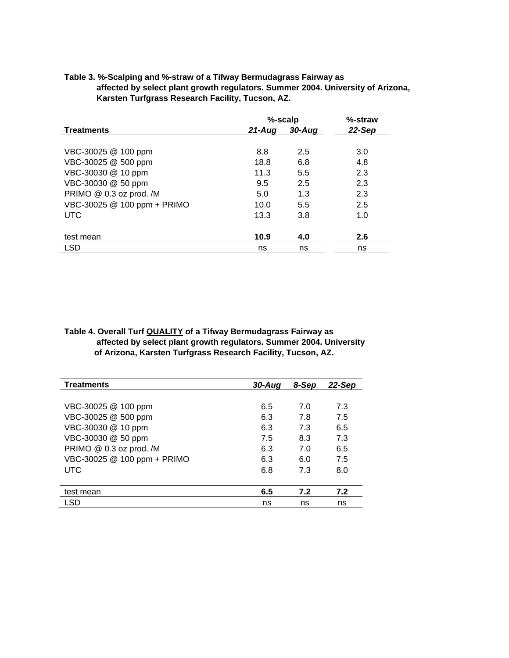|                             | %-scalp | %-straw    |          |
|-----------------------------|---------|------------|----------|
| <b>Treatments</b>           | 21-Aua  | $30 - A u$ | $22-Sep$ |
|                             |         |            |          |
| VBC-30025 @ 100 ppm         | 8.8     | 2.5        | 3.0      |
| VBC-30025 @ 500 ppm         | 18.8    | 6.8        | 4.8      |
| VBC-30030 @ 10 ppm          | 11.3    | 5.5        | 2.3      |
| VBC-30030 @ 50 ppm          | 9.5     | 2.5        | 2.3      |
| PRIMO @ 0.3 oz prod. /M     | 5.0     | 1.3        | 2.3      |
| VBC-30025 @ 100 ppm + PRIMO | 10.0    | 5.5        | 2.5      |
| <b>UTC</b>                  | 13.3    | 3.8        | 1.0      |
|                             |         |            |          |
| test mean                   | 10.9    | 4.0        | 2.6      |
| LSD                         | ns      | ns         | ns       |

## **Table 3. %-Scalping and %-straw of a Tifway Bermudagrass Fairway as affected by select plant growth regulators. Summer 2004. University of Arizona, Karsten Turfgrass Research Facility, Tucson, AZ.**

**Table 4. Overall Turf QUALITY of a Tifway Bermudagrass Fairway as affected by select plant growth regulators. Summer 2004. University of Arizona, Karsten Turfgrass Research Facility, Tucson, AZ.** 

| <b>Treatments</b>           | $30 - Aug$ | 8-Sep | $22-Sep$ |
|-----------------------------|------------|-------|----------|
|                             |            |       |          |
| VBC-30025 @ 100 ppm         | 6.5        | 7.0   | 7.3      |
| VBC-30025 @ 500 ppm         | 6.3        | 7.8   | 7.5      |
| VBC-30030 @ 10 ppm          | 6.3        | 7.3   | 6.5      |
| VBC-30030 @ 50 ppm          | 7.5        | 8.3   | 7.3      |
| PRIMO @ 0.3 oz prod. /M     | 6.3        | 7.0   | 6.5      |
| VBC-30025 @ 100 ppm + PRIMO | 6.3        | 6.0   | 7.5      |
| UTC.                        | 6.8        | 7.3   | 8.0      |
|                             |            |       |          |
| test mean                   | 6.5        | 7.2   | 7.2      |
| LSD                         | ns         | ns    | ns       |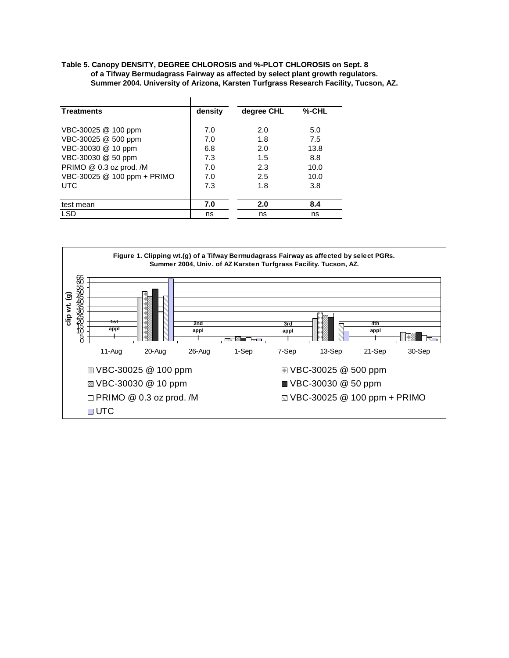**Table 5. Canopy DENSITY, DEGREE CHLOROSIS and %-PLOT CHLOROSIS on Sept. 8 of a Tifway Bermudagrass Fairway as affected by select plant growth regulators. Summer 2004. University of Arizona, Karsten Turfgrass Research Facility, Tucson, AZ.**

| <b>Treatments</b>           | density | degree CHL | %-CHL |
|-----------------------------|---------|------------|-------|
|                             |         |            |       |
| VBC-30025 @ 100 ppm         | 7.0     | 2.0        | 5.0   |
| VBC-30025 @ 500 ppm         | 7.0     | 1.8        | 7.5   |
| VBC-30030 @ 10 ppm          | 6.8     | 2.0        | 13.8  |
| VBC-30030 @ 50 ppm          | 7.3     | 1.5        | 8.8   |
| PRIMO @ 0.3 oz prod. /M     | 7.0     | 2.3        | 10.0  |
| VBC-30025 @ 100 ppm + PRIMO | 7.0     | 2.5        | 10.0  |
| <b>UTC</b>                  | 7.3     | 1.8        | 3.8   |
|                             |         |            |       |
| test mean                   | 7.0     | 2.0        | 8.4   |
| <b>LSD</b>                  | ns      | ns         | ns    |

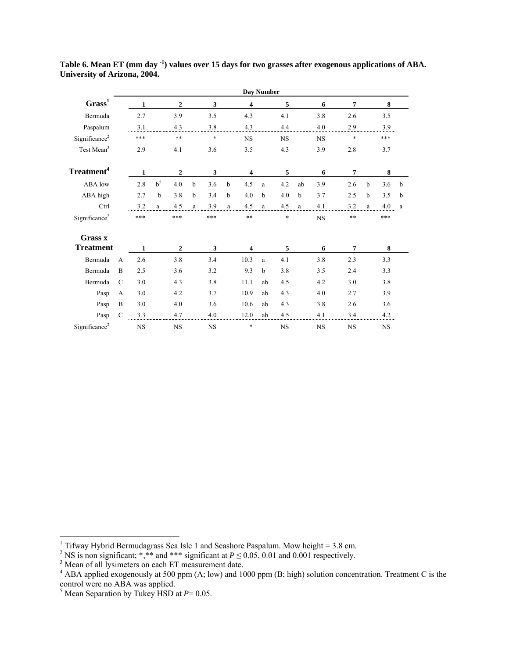|                           |                |              |             |                  |             |           |   |        | Day Number |           |    |           |                |              |           |   |
|---------------------------|----------------|--------------|-------------|------------------|-------------|-----------|---|--------|------------|-----------|----|-----------|----------------|--------------|-----------|---|
| Grass <sup>1</sup>        |                | $\mathbf{1}$ |             | $\overline{2}$   |             | 3         |   | 4      |            | 5         |    | 6         | $\overline{7}$ |              | 8         |   |
| Bermuda                   |                | 2.7          |             | 3.9              |             | 3.5       |   | 4.3    |            | 4.1       |    | 3.8       | 2.6            |              | 3.5       |   |
| Paspalum                  |                | 3.1          |             | 4.3              |             | 3.8       |   | 4.3    |            | 4.4       |    | 4.0       | 2.9            |              | 3.9       |   |
| Significance <sup>2</sup> |                | ***          |             | $***$            |             | $\ast$    |   | NS     |            | <b>NS</b> |    | <b>NS</b> | $\ast$         |              | ***       |   |
| Test Mean <sup>3</sup>    |                | 2.9          |             | 4.1              |             | 3.6       |   | 3.5    |            | 4.3       |    | 3.9       | 2.8            |              | 3.7       |   |
| Treatment <sup>4</sup>    |                | $\mathbf{1}$ |             | $\boldsymbol{2}$ |             | 3         |   | 4      |            | 5         |    | 6         | $\overline{7}$ |              | 8         |   |
| ABA low                   |                | 2.8          | $b^5$       | 4.0              | $\mathbf b$ | 3.6       | b | 4.5    | a          | 4.2       | ab | 3.9       | 2.6            | b            | 3.6       | b |
| ABA high                  |                | 2.7          | $\mathbf b$ | 3.8              | b           | 3.4       | b | 4.0    | b          | 4.0       | b  | 3.7       | 2.5            | b            | 3.5       | b |
| Ctrl                      |                | 3.2          | a           | 4.5              | a           | 3.9       | a | 4.5    | a          | 4.5       | a  | 4.1       | 3.2            | $\mathbf{a}$ | 4.0       | a |
| Significance <sup>2</sup> |                | ***          |             | ***              |             | ***       |   | $***$  |            | $\ast$    |    | <b>NS</b> | **             |              | ***       |   |
| Grass x                   |                |              |             |                  |             |           |   |        |            |           |    |           |                |              |           |   |
| <b>Treatment</b>          |                | 1            |             | $\overline{2}$   |             | 3         |   | 4      |            | 5         |    | 6         | 7              |              | 8         |   |
| Bermuda                   | $\overline{A}$ | 2.6          |             | 3.8              |             | 3.4       |   | 10.3   | a          | 4.1       |    | 3.8       | 2.3            |              | 3.3       |   |
| Bermuda                   | $\overline{B}$ | 2.5          |             | 3.6              |             | 3.2       |   | 9.3    | b          | 3.8       |    | 3.5       | 2.4            |              | 3.3       |   |
| Bermuda                   | $\mathcal{C}$  | 3.0          |             | 4.3              |             | 3.8       |   | 11.1   | ab         | 4.5       |    | 4.2       | 3.0            |              | 3.8       |   |
| Pasp                      | A              | 3.0          |             | 4.2              |             | 3.7       |   | 10.9   | ab         | 4.3       |    | 4.0       | 2.7            |              | 3.9       |   |
| Pasp                      | B              | 3.0          |             | 4.0              |             | 3.6       |   | 10.6   | ab         | 4.3       |    | 3.8       | 2.6            |              | 3.6       |   |
| Pasp                      | $\mathcal{C}$  | 3.3          |             | 4.7              |             | 4.0       |   | 12.0   | ab         | 4.5       |    | 4.1       | 3.4            |              | 4.2       |   |
| Significance <sup>2</sup> |                | <b>NS</b>    |             | <b>NS</b>        |             | <b>NS</b> |   | $\ast$ |            | <b>NS</b> |    | <b>NS</b> | <b>NS</b>      |              | <b>NS</b> |   |

**Table 6. Mean ET (mm day -1) values over 15 days for two grasses after exogenous applications of ABA. University of Arizona, 2004.** 

<sup>&</sup>lt;sup>1</sup> Tifway Hybrid Bermudagrass Sea Isle 1 and Seashore Paspalum. Mow height = 3.8 cm.<br><sup>2</sup> NS is non significant; \*,\*\* and \*\*\* significant at  $P \le 0.05$ , 0.01 and 0.001 respectively.<br><sup>3</sup> Mean of all lysimeters on each ET m

control were no ABA was applied. 5 Mean Separation by Tukey HSD at *P*= 0.05.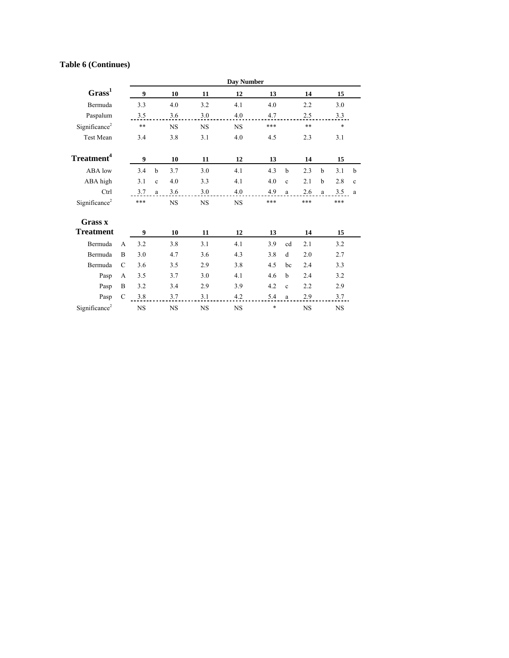## **Table 6 (Continues)**

|                           |               | <b>Day Number</b> |              |           |             |           |        |              |           |              |           |             |
|---------------------------|---------------|-------------------|--------------|-----------|-------------|-----------|--------|--------------|-----------|--------------|-----------|-------------|
| Grass <sup>1</sup>        |               | 9                 |              | 10        | 11          | 12        | 13     |              | 14        |              | 15        |             |
| Bermuda                   |               | 3.3               |              | 4.0       | 3.2         | 4.1       | 4.0    |              | 2.2       |              | 3.0       |             |
| Paspalum                  |               | 3.5               |              | 3.6       | 3.0         | 4.0       | 4.7    |              | 2.5       |              | 3.3       |             |
| Significance <sup>2</sup> |               | $***$             |              | <b>NS</b> | <b>NS</b>   | <b>NS</b> | ***    |              | $***$     |              | $\ast$    |             |
| <b>Test Mean</b>          |               | 3.4               |              | 3.8       | 3.1         | 4.0       | 4.5    |              | 2.3       |              | 3.1       |             |
| Treatment <sup>4</sup>    |               | 9                 |              | 10        | 11          | 12        | 13     |              | 14        |              | 15        |             |
| ABA low                   |               | 3.4               | $\mathbf b$  | 3.7       | 3.0         | 4.1       | 4.3    | $\mathbf b$  | 2.3       | b            | 3.1       | b           |
| ABA high                  |               | 3.1               | $\mathbf c$  | 4.0       | 3.3         | 4.1       | 4.0    | $\mathbf{c}$ | 2.1       | b            | 2.8       | $\mathbf c$ |
| Ctrl                      |               | 3.7               | $\mathbf{a}$ | 3.6       | 3.0         | 4.0       | 4.9    | a            | 2.6       | $\mathbf{a}$ | 3.5       | a           |
| Significance <sup>2</sup> |               | ***               |              | <b>NS</b> | NS          | <b>NS</b> | ***    |              | ***       |              | ***       |             |
| Grass x                   |               |                   |              |           |             |           |        |              |           |              |           |             |
| <b>Treatment</b>          |               | 9                 |              | 10        | 11          | 12        | 13     |              | 14        |              | 15        |             |
| Bermuda                   | A             | 3.2               |              | 3.8       | 3.1         | 4.1       | 3.9    | cd           | 2.1       |              | 3.2       |             |
| Bermuda                   | B             | 3.0               |              | 4.7       | 3.6         | 4.3       | 3.8    | d            | 2.0       |              | 2.7       |             |
| Bermuda                   | $\mathcal{C}$ | 3.6               |              | 3.5       | 2.9         | 3.8       | 4.5    | bc           | 2.4       |              | 3.3       |             |
| Pasp                      | A             | 3.5               |              | 3.7       | 3.0         | 4.1       | 4.6    | h            | 2.4       |              | 3.2       |             |
| Pasp                      | B             | 3.2               |              | 3.4       | 2.9         | 3.9       | 4.2    | $\mathbf{c}$ | 2.2       |              | 2.9       |             |
| Pasp                      | $\mathcal{C}$ | 3.8               |              | 3.7       | 3.1         | 4.2       | 5.4    | a            | 2.9       |              | 3.7       |             |
| Significance <sup>2</sup> |               | <b>NS</b>         |              | <b>NS</b> | $_{\rm NS}$ | <b>NS</b> | $\ast$ |              | <b>NS</b> |              | <b>NS</b> |             |
|                           |               |                   |              |           |             |           |        |              |           |              |           |             |